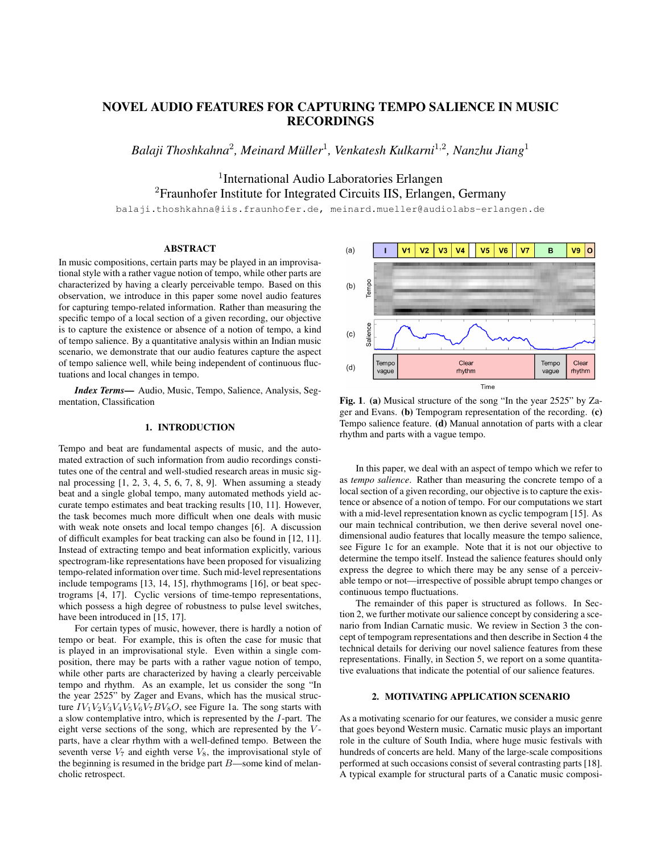# NOVEL AUDIO FEATURES FOR CAPTURING TEMPO SALIENCE IN MUSIC RECORDINGS

*Balaji Thoshkahna*<sup>2</sup> *, Meinard Muller ¨* 1 *, Venkatesh Kulkarni*<sup>1</sup>,<sup>2</sup> *, Nanzhu Jiang*<sup>1</sup>

<sup>1</sup>International Audio Laboratories Erlangen <sup>2</sup>Fraunhofer Institute for Integrated Circuits IIS, Erlangen, Germany

balaji.thoshkahna@iis.fraunhofer.de, meinard.mueller@audiolabs-erlangen.de

# ABSTRACT

In music compositions, certain parts may be played in an improvisational style with a rather vague notion of tempo, while other parts are characterized by having a clearly perceivable tempo. Based on this observation, we introduce in this paper some novel audio features for capturing tempo-related information. Rather than measuring the specific tempo of a local section of a given recording, our objective is to capture the existence or absence of a notion of tempo, a kind of tempo salience. By a quantitative analysis within an Indian music scenario, we demonstrate that our audio features capture the aspect of tempo salience well, while being independent of continuous fluctuations and local changes in tempo.

*Index Terms*— Audio, Music, Tempo, Salience, Analysis, Segmentation, Classification

# 1. INTRODUCTION

Tempo and beat are fundamental aspects of music, and the automated extraction of such information from audio recordings constitutes one of the central and well-studied research areas in music signal processing  $[1, 2, 3, 4, 5, 6, 7, 8, 9]$ . When assuming a steady beat and a single global tempo, many automated methods yield accurate tempo estimates and beat tracking results [10, 11]. However, the task becomes much more difficult when one deals with music with weak note onsets and local tempo changes [6]. A discussion of difficult examples for beat tracking can also be found in [12, 11]. Instead of extracting tempo and beat information explicitly, various spectrogram-like representations have been proposed for visualizing tempo-related information over time. Such mid-level representations include tempograms [13, 14, 15], rhythmograms [16], or beat spectrograms [4, 17]. Cyclic versions of time-tempo representations, which possess a high degree of robustness to pulse level switches, have been introduced in [15, 17].

For certain types of music, however, there is hardly a notion of tempo or beat. For example, this is often the case for music that is played in an improvisational style. Even within a single composition, there may be parts with a rather vague notion of tempo, while other parts are characterized by having a clearly perceivable tempo and rhythm. As an example, let us consider the song "In the year 2525" by Zager and Evans, which has the musical structure  $IV_1V_2V_3V_4V_5V_6V_7BV_8O$ , see Figure 1a. The song starts with a slow contemplative intro, which is represented by the I-part. The eight verse sections of the song, which are represented by the Vparts, have a clear rhythm with a well-defined tempo. Between the seventh verse  $V_7$  and eighth verse  $V_8$ , the improvisational style of the beginning is resumed in the bridge part  $B$ —some kind of melancholic retrospect.



Fig. 1. (a) Musical structure of the song "In the year 2525" by Zager and Evans. (b) Tempogram representation of the recording. (c) Tempo salience feature. (d) Manual annotation of parts with a clear rhythm and parts with a vague tempo.

In this paper, we deal with an aspect of tempo which we refer to as *tempo salience*. Rather than measuring the concrete tempo of a local section of a given recording, our objective is to capture the existence or absence of a notion of tempo. For our computations we start with a mid-level representation known as cyclic tempogram [15]. As our main technical contribution, we then derive several novel onedimensional audio features that locally measure the tempo salience, see Figure 1c for an example. Note that it is not our objective to determine the tempo itself. Instead the salience features should only express the degree to which there may be any sense of a perceivable tempo or not—irrespective of possible abrupt tempo changes or continuous tempo fluctuations.

The remainder of this paper is structured as follows. In Section 2, we further motivate our salience concept by considering a scenario from Indian Carnatic music. We review in Section 3 the concept of tempogram representations and then describe in Section 4 the technical details for deriving our novel salience features from these representations. Finally, in Section 5, we report on a some quantitative evaluations that indicate the potential of our salience features.

#### 2. MOTIVATING APPLICATION SCENARIO

As a motivating scenario for our features, we consider a music genre that goes beyond Western music. Carnatic music plays an important role in the culture of South India, where huge music festivals with hundreds of concerts are held. Many of the large-scale compositions performed at such occasions consist of several contrasting parts [18]. A typical example for structural parts of a Canatic music composi-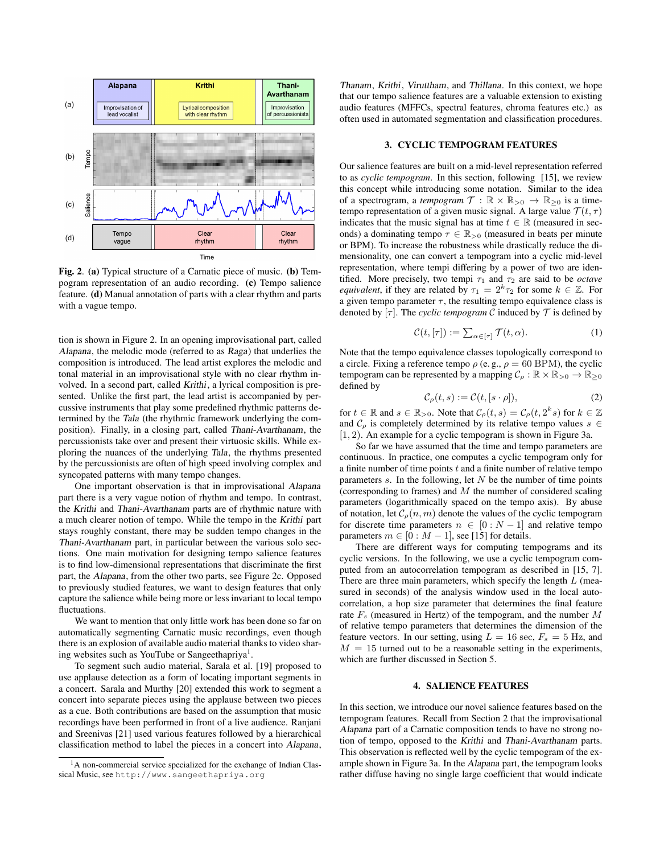

Fig. 2. (a) Typical structure of a Carnatic piece of music. (b) Tempogram representation of an audio recording. (c) Tempo salience feature. (d) Manual annotation of parts with a clear rhythm and parts with a vague tempo.

tion is shown in Figure 2. In an opening improvisational part, called Alapana, the melodic mode (referred to as Raga) that underlies the composition is introduced. The lead artist explores the melodic and tonal material in an improvisational style with no clear rhythm involved. In a second part, called Krithi, a lyrical composition is presented. Unlike the first part, the lead artist is accompanied by percussive instruments that play some predefined rhythmic patterns determined by the Tala (the rhythmic framework underlying the composition). Finally, in a closing part, called Thani-Avarthanam, the percussionists take over and present their virtuosic skills. While exploring the nuances of the underlying Tala, the rhythms presented by the percussionists are often of high speed involving complex and syncopated patterns with many tempo changes.

One important observation is that in improvisational Alapana part there is a very vague notion of rhythm and tempo. In contrast, the Krithi and Thani-Avarthanam parts are of rhythmic nature with a much clearer notion of tempo. While the tempo in the Krithi part stays roughly constant, there may be sudden tempo changes in the Thani-Avarthanam part, in particular between the various solo sections. One main motivation for designing tempo salience features is to find low-dimensional representations that discriminate the first part, the Alapana, from the other two parts, see Figure 2c. Opposed to previously studied features, we want to design features that only capture the salience while being more or less invariant to local tempo fluctuations.

We want to mention that only little work has been done so far on automatically segmenting Carnatic music recordings, even though there is an explosion of available audio material thanks to video sharing websites such as YouTube or Sangeethapriya<sup>1</sup>.

To segment such audio material, Sarala et al. [19] proposed to use applause detection as a form of locating important segments in a concert. Sarala and Murthy [20] extended this work to segment a concert into separate pieces using the applause between two pieces as a cue. Both contributions are based on the assumption that music recordings have been performed in front of a live audience. Ranjani and Sreenivas [21] used various features followed by a hierarchical classification method to label the pieces in a concert into Alapana,

Thanam, Krithi, Viruttham, and Thillana. In this context, we hope that our tempo salience features are a valuable extension to existing audio features (MFFCs, spectral features, chroma features etc.) as often used in automated segmentation and classification procedures.

## 3. CYCLIC TEMPOGRAM FEATURES

Our salience features are built on a mid-level representation referred to as *cyclic tempogram*. In this section, following [15], we review this concept while introducing some notation. Similar to the idea of a spectrogram, a *tempogram*  $T : \mathbb{R} \times \mathbb{R}_{>0} \to \mathbb{R}_{>0}$  is a timetempo representation of a given music signal. A large value  $\mathcal{T}(t, \tau)$ indicates that the music signal has at time  $t \in \mathbb{R}$  (measured in seconds) a dominating tempo  $\tau \in \mathbb{R}_{>0}$  (measured in beats per minute or BPM). To increase the robustness while drastically reduce the dimensionality, one can convert a tempogram into a cyclic mid-level representation, where tempi differing by a power of two are identified. More precisely, two tempi  $\tau_1$  and  $\tau_2$  are said to be *octave equivalent*, if they are related by  $\tau_1 = 2^k \tau_2$  for some  $k \in \mathbb{Z}$ . For a given tempo parameter  $\tau$ , the resulting tempo equivalence class is denoted by  $[\tau]$ . The *cyclic tempogram* C induced by  $\tau$  is defined by

$$
\mathcal{C}(t,[\tau]) := \sum_{\alpha \in [\tau]} \mathcal{T}(t,\alpha). \tag{1}
$$

Note that the tempo equivalence classes topologically correspond to a circle. Fixing a reference tempo  $\rho$  (e.g.,  $\rho = 60$  BPM), the cyclic tempogram can be represented by a mapping  $C_\rho : \mathbb{R} \times \mathbb{R}_{>0} \to \mathbb{R}_{\geq 0}$ defined by

$$
\mathcal{C}_{\rho}(t,s) := \mathcal{C}(t,[s \cdot \rho]),\tag{2}
$$

for  $t \in \mathbb{R}$  and  $s \in \mathbb{R}_{>0}$ . Note that  $\mathcal{C}_{\rho}(t, s) = \mathcal{C}_{\rho}(t, 2^{k} s)$  for  $k \in \mathbb{Z}$ and  $\mathcal{C}_\rho$  is completely determined by its relative tempo values  $s \in \mathcal{C}$ [1, 2). An example for a cyclic tempogram is shown in Figure 3a.

So far we have assumed that the time and tempo parameters are continuous. In practice, one computes a cyclic tempogram only for a finite number of time points  $t$  and a finite number of relative tempo parameters  $s$ . In the following, let  $N$  be the number of time points (corresponding to frames) and  $M$  the number of considered scaling parameters (logarithmically spaced on the tempo axis). By abuse of notation, let  $\mathcal{C}_{\rho}(n,m)$  denote the values of the cyclic tempogram for discrete time parameters  $n \in [0:N-1]$  and relative tempo parameters  $m \in [0 : M - 1]$ , see [15] for details.

There are different ways for computing tempograms and its cyclic versions. In the following, we use a cyclic tempogram computed from an autocorrelation tempogram as described in [15, 7]. There are three main parameters, which specify the length  $L$  (measured in seconds) of the analysis window used in the local autocorrelation, a hop size parameter that determines the final feature rate  $F_s$  (measured in Hertz) of the tempogram, and the number M of relative tempo parameters that determines the dimension of the feature vectors. In our setting, using  $L = 16$  sec,  $F_s = 5$  Hz, and  $M = 15$  turned out to be a reasonable setting in the experiments, which are further discussed in Section 5.

#### 4. SALIENCE FEATURES

In this section, we introduce our novel salience features based on the tempogram features. Recall from Section 2 that the improvisational Alapana part of a Carnatic composition tends to have no strong notion of tempo, opposed to the Krithi and Thani-Avarthanam parts. This observation is reflected well by the cyclic tempogram of the example shown in Figure 3a. In the Alapana part, the tempogram looks rather diffuse having no single large coefficient that would indicate

<sup>&</sup>lt;sup>1</sup>A non-commercial service specialized for the exchange of Indian Classical Music, see http://www.sangeethapriya.org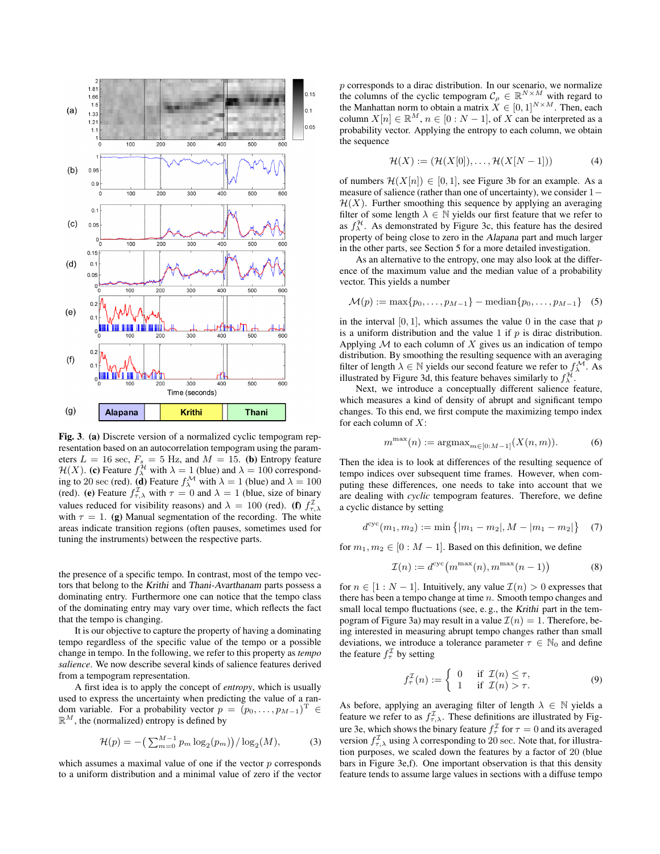

Fig. 3. (a) Discrete version of a normalized cyclic tempogram representation based on an autocorrelation tempogram using the parameters  $L = 16$  sec,  $F_s = 5$  Hz, and  $M = 15$ . (b) Entropy feature  $\mathcal{H}(X)$ . (c) Feature  $f^{\mathcal{H}}_{\lambda}$  with  $\lambda = 1$  (blue) and  $\lambda = 100$  corresponding to 20 sec (red). (d) Feature  $f_{\lambda}^{\mathcal{M}}$  with  $\lambda = 1$  (blue) and  $\lambda = 100$ (red). (e) Feature  $f_{\tau,\lambda}^{\mathcal{I}}$  with  $\tau = 0$  and  $\lambda = 1$  (blue, size of binary values reduced for visibility reasons) and  $\lambda = 100$  (red). (f)  $f_{\tau,\lambda}^{\mathcal{I}}$ with  $\tau = 1$ . (g) Manual segmentation of the recording. The white areas indicate transition regions (often pauses, sometimes used for tuning the instruments) between the respective parts.

the presence of a specific tempo. In contrast, most of the tempo vectors that belong to the Krithi and Thani-Avarthanam parts possess a dominating entry. Furthermore one can notice that the tempo class of the dominating entry may vary over time, which reflects the fact that the tempo is changing.

It is our objective to capture the property of having a dominating tempo regardless of the specific value of the tempo or a possible change in tempo. In the following, we refer to this property as *tempo salience*. We now describe several kinds of salience features derived from a tempogram representation.

A first idea is to apply the concept of *entropy*, which is usually used to express the uncertainty when predicting the value of a random variable. For a probability vector  $p = (p_0, \ldots, p_{M-1})^T \in$  $\mathbb{R}^M$ , the (normalized) entropy is defined by

$$
\mathcal{H}(p) = -\left(\sum_{m=0}^{M-1} p_m \log_2(p_m)\right) / \log_2(M),\tag{3}
$$

which assumes a maximal value of one if the vector  $p$  corresponds to a uniform distribution and a minimal value of zero if the vector  $p$  corresponds to a dirac distribution. In our scenario, we normalize the columns of the cyclic tempogram  $C_{\rho} \in \mathbb{R}^{N \times M}$  with regard to the Manhattan norm to obtain a matrix  $X \in [0,1]^{N \times M}$ . Then, each column  $X[n] \in \mathbb{R}^M$ ,  $n \in [0:N-1]$ , of X can be interpreted as a probability vector. Applying the entropy to each column, we obtain the sequence

$$
\mathcal{H}(X) := (\mathcal{H}(X[0]), \dots, \mathcal{H}(X[N-1])) \tag{4}
$$

of numbers  $\mathcal{H}(X[n]) \in [0,1]$ , see Figure 3b for an example. As a measure of salience (rather than one of uncertainty), we consider 1−  $H(X)$ . Further smoothing this sequence by applying an averaging filter of some length  $\lambda \in \mathbb{N}$  yields our first feature that we refer to as  $f^{\mathcal{H}}_{\lambda}$ . As demonstrated by Figure 3c, this feature has the desired property of being close to zero in the Alapana part and much larger in the other parts, see Section 5 for a more detailed investigation.

As an alternative to the entropy, one may also look at the difference of the maximum value and the median value of a probability vector. This yields a number

$$
\mathcal{M}(p) := \max\{p_0, \dots, p_{M-1}\} - \text{median}\{p_0, \dots, p_{M-1}\} \quad (5)
$$

in the interval  $[0, 1]$ , which assumes the value 0 in the case that p is a uniform distribution and the value 1 if  $p$  is dirac distribution. Applying  $M$  to each column of  $X$  gives us an indication of tempo distribution. By smoothing the resulting sequence with an averaging filter of length  $\lambda \in \mathbb{N}$  yields our second feature we refer to  $f_{\lambda}^{\mathcal{M}}$ . As illustrated by Figure 3d, this feature behaves similarly to  $f^{\mathcal{H}}_{\lambda}$ .

Next, we introduce a conceptually different salience feature, which measures a kind of density of abrupt and significant tempo changes. To this end, we first compute the maximizing tempo index for each column of  $X$ :

$$
m^{\max}(n) := \operatorname{argmax}_{m \in [0:M-1]} (X(n,m)). \tag{6}
$$

Then the idea is to look at differences of the resulting sequence of tempo indices over subsequent time frames. However, when computing these differences, one needs to take into account that we are dealing with *cyclic* tempogram features. Therefore, we define a cyclic distance by setting

$$
d^{\text{cyc}}(m_1, m_2) := \min\left\{ |m_1 - m_2|, M - |m_1 - m_2| \right\} \quad (7)
$$

for  $m_1, m_2 \in [0 : M - 1]$ . Based on this definition, we define

$$
\mathcal{I}(n) := d^{\text{cyc}}(m^{\max}(n), m^{\max}(n-1))
$$
 (8)

for  $n \in [1 : N - 1]$ . Intuitively, any value  $\mathcal{I}(n) > 0$  expresses that there has been a tempo change at time  $n$ . Smooth tempo changes and small local tempo fluctuations (see, e. g., the Krithi part in the tempogram of Figure 3a) may result in a value  $\mathcal{I}(n) = 1$ . Therefore, being interested in measuring abrupt tempo changes rather than small deviations, we introduce a tolerance parameter  $\tau \in \mathbb{N}_0$  and define the feature  $f_{\tau}^{\mathcal{I}}$  by setting

$$
f_{\tau}^{\mathcal{I}}(n) := \begin{cases} 0 & \text{if } \mathcal{I}(n) \leq \tau, \\ 1 & \text{if } \mathcal{I}(n) > \tau. \end{cases}
$$
 (9)

As before, applying an averaging filter of length  $\lambda \in \mathbb{N}$  yields a feature we refer to as  $f_{\tau,\lambda}^{\mathcal{I}}$ . These definitions are illustrated by Figure 3e, which shows the binary feature  $f_{\tau}^{\mathcal{I}}$  for  $\tau = 0$  and its averaged version  $f_{\tau,\lambda}^{\mathcal{I}}$  using  $\lambda$  corresponding to 20 sec. Note that, for illustration purposes, we scaled down the features by a factor of 20 (blue bars in Figure 3e,f). One important observation is that this density feature tends to assume large values in sections with a diffuse tempo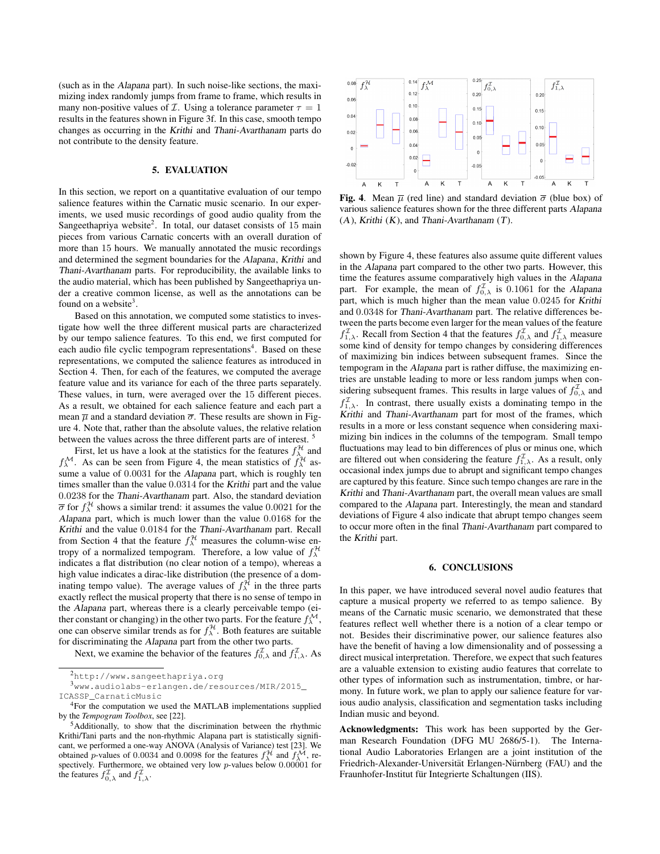(such as in the Alapana part). In such noise-like sections, the maximizing index randomly jumps from frame to frame, which results in many non-positive values of *I*. Using a tolerance parameter  $\tau = 1$ results in the features shown in Figure 3f. In this case, smooth tempo changes as occurring in the Krithi and Thani-Avarthanam parts do not contribute to the density feature.

## 5. EVALUATION

In this section, we report on a quantitative evaluation of our tempo salience features within the Carnatic music scenario. In our experiments, we used music recordings of good audio quality from the Sangeethapriya website<sup>2</sup>. In total, our dataset consists of 15 main pieces from various Carnatic concerts with an overall duration of more than 15 hours. We manually annotated the music recordings and determined the segment boundaries for the Alapana, Krithi and Thani-Avarthanam parts. For reproducibility, the available links to the audio material, which has been published by Sangeethapriya under a creative common license, as well as the annotations can be found on a website<sup>3</sup>.

Based on this annotation, we computed some statistics to investigate how well the three different musical parts are characterized by our tempo salience features. To this end, we first computed for each audio file cyclic tempogram representations<sup>4</sup>. Based on these representations, we computed the salience features as introduced in Section 4. Then, for each of the features, we computed the average feature value and its variance for each of the three parts separately. These values, in turn, were averaged over the 15 different pieces. As a result, we obtained for each salience feature and each part a mean  $\overline{\mu}$  and a standard deviation  $\overline{\sigma}$ . These results are shown in Figure 4. Note that, rather than the absolute values, the relative relation between the values across the three different parts are of interest. <sup>5</sup>

First, let us have a look at the statistics for the features  $f^{\mathcal{H}}_{\lambda}$  and  $f^{\mathcal{M}}_{\lambda}$ . As can be seen from Figure 4, the mean statistics of  $f^{\mathcal{H}}_{\lambda}$  assume a value of 0.0031 for the Alapana part, which is roughly ten times smaller than the value 0.0314 for the Krithi part and the value 0.0238 for the Thani-Avarthanam part. Also, the standard deviation  $\overline{\sigma}$  for  $f_{\lambda}^{\mathcal{H}}$  shows a similar trend: it assumes the value 0.0021 for the Alapana part, which is much lower than the value 0.0168 for the Krithi and the value 0.0184 for the Thani-Avarthanam part. Recall from Section 4 that the feature  $f_{\lambda}^{\mathcal{H}}$  measures the column-wise entropy of a normalized tempogram. Therefore, a low value of  $f^{\mathcal{H}}_{\lambda}$ indicates a flat distribution (no clear notion of a tempo), whereas a high value indicates a dirac-like distribution (the presence of a dominating tempo value). The average values of  $f_{\lambda}^{\mathcal{H}}$  in the three parts exactly reflect the musical property that there is no sense of tempo in the Alapana part, whereas there is a clearly perceivable tempo (either constant or changing) in the other two parts. For the feature  $f^{\mathcal{M}}_{\lambda}$ , one can observe similar trends as for  $f_{\lambda}^{\mathcal{H}}$ . Both features are suitable for discriminating the Alapana part from the other two parts.

Next, we examine the behavior of the features  $f_{0,\lambda}^{\mathcal{I}}$  and  $f_{1,\lambda}^{\mathcal{I}}$ . As

<sup>3</sup>www.audiolabs-erlangen.de/resources/MIR/2015\_ ICASSP\_CarnaticMusic



Fig. 4. Mean  $\overline{\mu}$  (red line) and standard deviation  $\overline{\sigma}$  (blue box) of various salience features shown for the three different parts Alapana  $(A)$ , Krithi  $(K)$ , and Thani-Avarthanam  $(T)$ .

shown by Figure 4, these features also assume quite different values in the Alapana part compared to the other two parts. However, this time the features assume comparatively high values in the Alapana part. For example, the mean of  $f_{0,\lambda}^{\mathcal{I}}$  is 0.1061 for the Alapana part, which is much higher than the mean value 0.0245 for Krithi and 0.0348 for Thani-Avarthanam part. The relative differences between the parts become even larger for the mean values of the feature  $f_{1,\lambda}^{\mathcal{I}}$ . Recall from Section 4 that the features  $f_{0,\lambda}^{\mathcal{I}}$  and  $f_{1,\lambda}^{\mathcal{I}}$  measure some kind of density for tempo changes by considering differences of maximizing bin indices between subsequent frames. Since the tempogram in the Alapana part is rather diffuse, the maximizing entries are unstable leading to more or less random jumps when considering subsequent frames. This results in large values of  $f_{0,\lambda}^{\mathcal{I}}$  and  $f_{1,\lambda}^{\mathcal{I}}$ . In contrast, there usually exists a dominating tempo in the Krithi and Thani-Avarthanam part for most of the frames, which results in a more or less constant sequence when considering maximizing bin indices in the columns of the tempogram. Small tempo fluctuations may lead to bin differences of plus or minus one, which are filtered out when considering the feature  $f_{1,\lambda}^{\mathcal{I}}$ . As a result, only occasional index jumps due to abrupt and significant tempo changes are captured by this feature. Since such tempo changes are rare in the Krithi and Thani-Avarthanam part, the overall mean values are small compared to the Alapana part. Interestingly, the mean and standard deviations of Figure 4 also indicate that abrupt tempo changes seem to occur more often in the final Thani-Avarthanam part compared to the Krithi part.

## 6. CONCLUSIONS

In this paper, we have introduced several novel audio features that capture a musical property we referred to as tempo salience. By means of the Carnatic music scenario, we demonstrated that these features reflect well whether there is a notion of a clear tempo or not. Besides their discriminative power, our salience features also have the benefit of having a low dimensionality and of possessing a direct musical interpretation. Therefore, we expect that such features are a valuable extension to existing audio features that correlate to other types of information such as instrumentation, timbre, or harmony. In future work, we plan to apply our salience feature for various audio analysis, classification and segmentation tasks including Indian music and beyond.

Acknowledgments: This work has been supported by the German Research Foundation (DFG MU 2686/5-1). The International Audio Laboratories Erlangen are a joint institution of the Friedrich-Alexander-Universität Erlangen-Nürnberg (FAU) and the Fraunhofer-Institut für Integrierte Schaltungen (IIS).

<sup>2</sup>http://www.sangeethapriya.org

<sup>&</sup>lt;sup>4</sup>For the computation we used the MATLAB implementations supplied by the *Tempogram Toolbox*, see [22].

<sup>5</sup>Additionally, to show that the discrimination between the rhythmic Krithi/Tani parts and the non-rhythmic Alapana part is statistically significant, we performed a one-way ANOVA (Analysis of Variance) test [23]. We obtained *p*-values of 0.0034 and 0.0098 for the features  $f_{\lambda}^{\mathcal{H}}$  and  $f_{\lambda}^{\mathcal{M}}$ , respectively. Furthermore, we obtained very low  $p$ -values below  $0.00001$  for the features  $f_{0,\lambda}^{\mathcal{I}}$  and  $f_{1,\lambda}^{\mathcal{I}}$ .